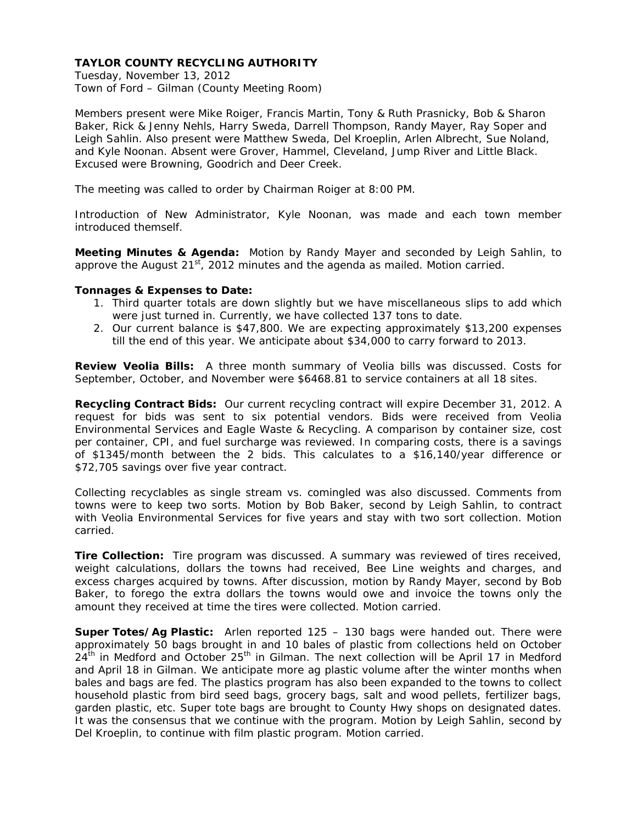Tuesday, November 13, 2012 Town of Ford – Gilman (County Meeting Room)

Members present were Mike Roiger, Francis Martin, Tony & Ruth Prasnicky, Bob & Sharon Baker, Rick & Jenny Nehls, Harry Sweda, Darrell Thompson, Randy Mayer, Ray Soper and Leigh Sahlin. Also present were Matthew Sweda, Del Kroeplin, Arlen Albrecht, Sue Noland, and Kyle Noonan. Absent were Grover, Hammel, Cleveland, Jump River and Little Black. Excused were Browning, Goodrich and Deer Creek.

The meeting was called to order by Chairman Roiger at 8:00 PM.

Introduction of New Administrator, Kyle Noonan, was made and each town member introduced themself.

**Meeting Minutes & Agenda:** Motion by Randy Mayer and seconded by Leigh Sahlin, to approve the August  $21^{st}$ , 2012 minutes and the agenda as mailed. Motion carried.

#### **Tonnages & Expenses to Date:**

- 1. Third quarter totals are down slightly but we have miscellaneous slips to add which were just turned in. Currently, we have collected 137 tons to date.
- 2. Our current balance is \$47,800. We are expecting approximately \$13,200 expenses till the end of this year. We anticipate about \$34,000 to carry forward to 2013.

**Review Veolia Bills:** A three month summary of Veolia bills was discussed. Costs for September, October, and November were \$6468.81 to service containers at all 18 sites.

**Recycling Contract Bids:** Our current recycling contract will expire December 31, 2012. A request for bids was sent to six potential vendors. Bids were received from Veolia Environmental Services and Eagle Waste & Recycling. A comparison by container size, cost per container, CPI, and fuel surcharge was reviewed. In comparing costs, there is a savings of \$1345/month between the 2 bids. This calculates to a \$16,140/year difference or \$72,705 savings over five year contract.

Collecting recyclables as single stream vs. comingled was also discussed. Comments from towns were to keep two sorts. Motion by Bob Baker, second by Leigh Sahlin, to contract with Veolia Environmental Services for five years and stay with two sort collection. Motion carried.

**Tire Collection:** Tire program was discussed. A summary was reviewed of tires received, weight calculations, dollars the towns had received, Bee Line weights and charges, and excess charges acquired by towns. After discussion, motion by Randy Mayer, second by Bob Baker, to forego the extra dollars the towns would owe and invoice the towns only the amount they received at time the tires were collected. Motion carried.

**Super Totes/Ag Plastic:** Arlen reported 125 – 130 bags were handed out. There were approximately 50 bags brought in and 10 bales of plastic from collections held on October  $24<sup>th</sup>$  in Medford and October  $25<sup>th</sup>$  in Gilman. The next collection will be April 17 in Medford and April 18 in Gilman. We anticipate more ag plastic volume after the winter months when bales and bags are fed. The plastics program has also been expanded to the towns to collect household plastic from bird seed bags, grocery bags, salt and wood pellets, fertilizer bags, garden plastic, etc. Super tote bags are brought to County Hwy shops on designated dates. It was the consensus that we continue with the program. Motion by Leigh Sahlin, second by Del Kroeplin, to continue with film plastic program. Motion carried.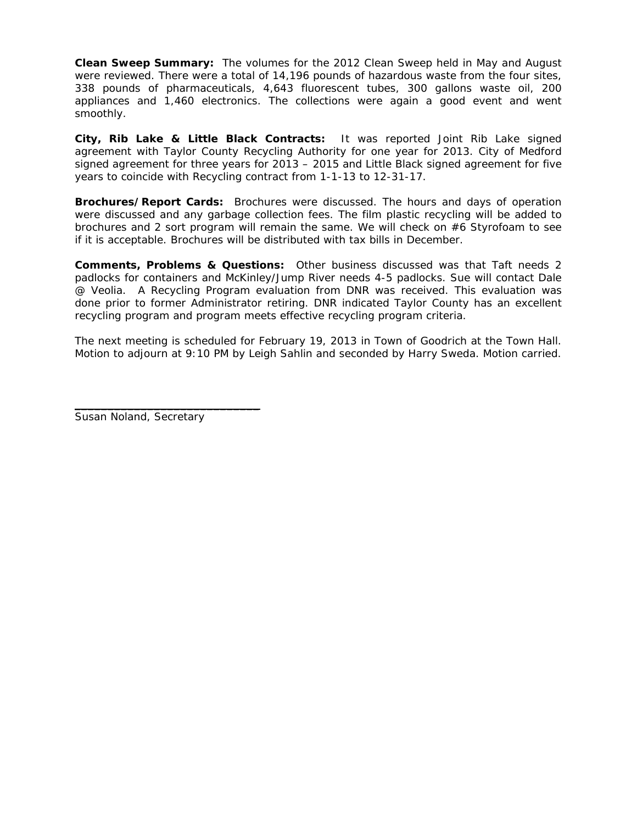**Clean Sweep Summary:** The volumes for the 2012 Clean Sweep held in May and August were reviewed. There were a total of 14,196 pounds of hazardous waste from the four sites, 338 pounds of pharmaceuticals, 4,643 fluorescent tubes, 300 gallons waste oil, 200 appliances and 1,460 electronics. The collections were again a good event and went smoothly.

**City, Rib Lake & Little Black Contracts:** It was reported Joint Rib Lake signed agreement with Taylor County Recycling Authority for one year for 2013. City of Medford signed agreement for three years for 2013 – 2015 and Little Black signed agreement for five years to coincide with Recycling contract from 1-1-13 to 12-31-17.

**Brochures/Report Cards:** Brochures were discussed. The hours and days of operation were discussed and any garbage collection fees. The film plastic recycling will be added to brochures and 2 sort program will remain the same. We will check on #6 Styrofoam to see if it is acceptable. Brochures will be distributed with tax bills in December.

**Comments, Problems & Questions:** Other business discussed was that Taft needs 2 padlocks for containers and McKinley/Jump River needs 4-5 padlocks. Sue will contact Dale @ Veolia. A Recycling Program evaluation from DNR was received. This evaluation was done prior to former Administrator retiring. DNR indicated Taylor County has an excellent recycling program and program meets effective recycling program criteria.

The next meeting is scheduled for February 19, 2013 in Town of Goodrich at the Town Hall. Motion to adjourn at 9:10 PM by Leigh Sahlin and seconded by Harry Sweda. Motion carried.

Susan Noland, Secretary

\_\_\_\_\_\_\_\_\_\_\_\_\_\_\_\_\_\_\_\_\_\_\_\_\_\_\_\_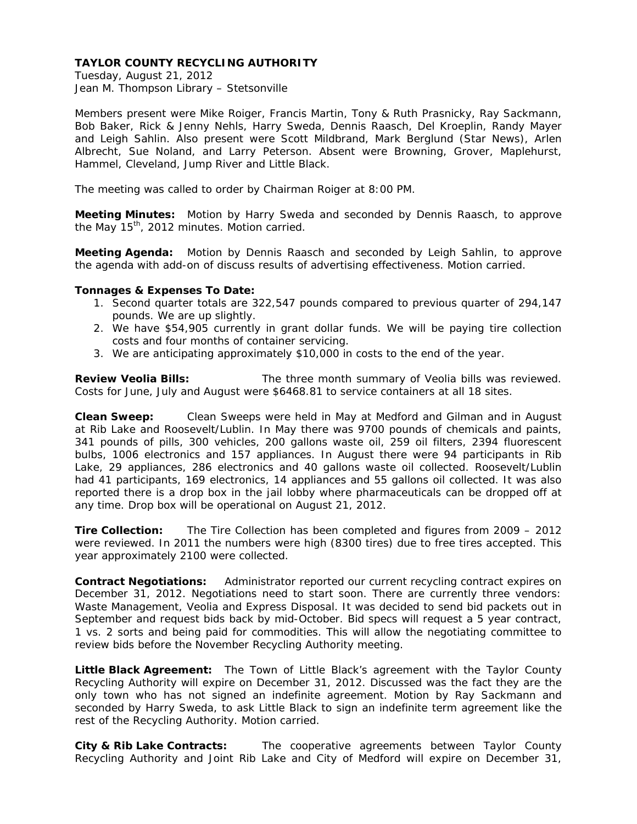Tuesday, August 21, 2012 Jean M. Thompson Library – Stetsonville

Members present were Mike Roiger, Francis Martin, Tony & Ruth Prasnicky, Ray Sackmann, Bob Baker, Rick & Jenny Nehls, Harry Sweda, Dennis Raasch, Del Kroeplin, Randy Mayer and Leigh Sahlin. Also present were Scott Mildbrand, Mark Berglund (Star News), Arlen Albrecht, Sue Noland, and Larry Peterson. Absent were Browning, Grover, Maplehurst, Hammel, Cleveland, Jump River and Little Black.

The meeting was called to order by Chairman Roiger at 8:00 PM.

**Meeting Minutes:** Motion by Harry Sweda and seconded by Dennis Raasch, to approve the May 15<sup>th</sup>, 2012 minutes. Motion carried.

**Meeting Agenda:** Motion by Dennis Raasch and seconded by Leigh Sahlin, to approve the agenda with add-on of discuss results of advertising effectiveness. Motion carried.

#### **Tonnages & Expenses To Date:**

- 1. Second quarter totals are 322,547 pounds compared to previous quarter of 294,147 pounds. We are up slightly.
- 2. We have \$54,905 currently in grant dollar funds. We will be paying tire collection costs and four months of container servicing.
- 3. We are anticipating approximately \$10,000 in costs to the end of the year.

**Review Veolia Bills:** The three month summary of Veolia bills was reviewed. Costs for June, July and August were \$6468.81 to service containers at all 18 sites.

**Clean Sweep:** Clean Sweeps were held in May at Medford and Gilman and in August at Rib Lake and Roosevelt/Lublin. In May there was 9700 pounds of chemicals and paints, 341 pounds of pills, 300 vehicles, 200 gallons waste oil, 259 oil filters, 2394 fluorescent bulbs, 1006 electronics and 157 appliances. In August there were 94 participants in Rib Lake, 29 appliances, 286 electronics and 40 gallons waste oil collected. Roosevelt/Lublin had 41 participants, 169 electronics, 14 appliances and 55 gallons oil collected. It was also reported there is a drop box in the jail lobby where pharmaceuticals can be dropped off at any time. Drop box will be operational on August 21, 2012.

**Tire Collection:** The Tire Collection has been completed and figures from 2009 – 2012 were reviewed. In 2011 the numbers were high (8300 tires) due to free tires accepted. This year approximately 2100 were collected.

**Contract Negotiations:** Administrator reported our current recycling contract expires on December 31, 2012. Negotiations need to start soon. There are currently three vendors: Waste Management, Veolia and Express Disposal. It was decided to send bid packets out in September and request bids back by mid-October. Bid specs will request a 5 year contract, 1 vs. 2 sorts and being paid for commodities. This will allow the negotiating committee to review bids before the November Recycling Authority meeting.

**Little Black Agreement:**The Town of Little Black's agreement with the Taylor County Recycling Authority will expire on December 31, 2012. Discussed was the fact they are the only town who has not signed an indefinite agreement. Motion by Ray Sackmann and seconded by Harry Sweda, to ask Little Black to sign an indefinite term agreement like the rest of the Recycling Authority. Motion carried.

**City & Rib Lake Contracts:**The cooperative agreements between Taylor County Recycling Authority and Joint Rib Lake and City of Medford will expire on December 31,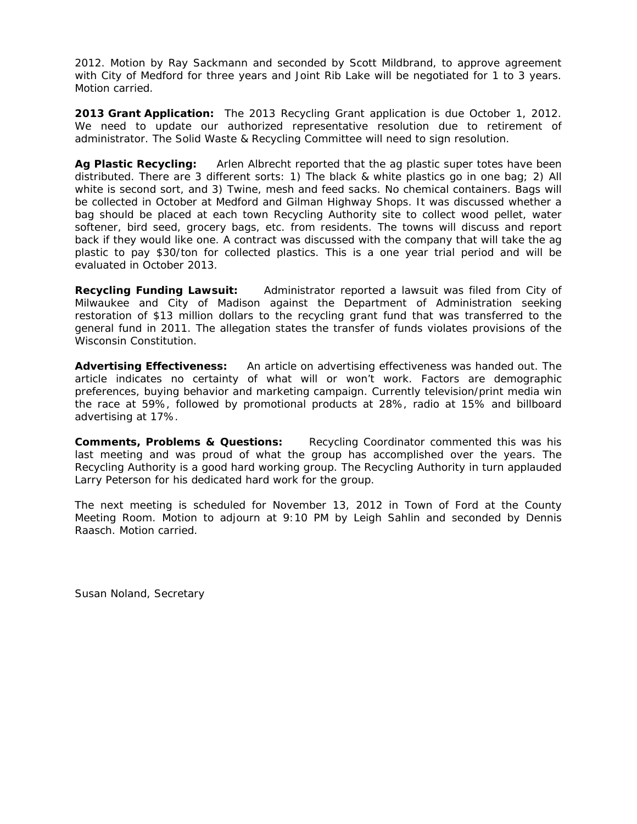2012. Motion by Ray Sackmann and seconded by Scott Mildbrand, to approve agreement with City of Medford for three years and Joint Rib Lake will be negotiated for 1 to 3 years. Motion carried.

**2013 Grant Application:** The 2013 Recycling Grant application is due October 1, 2012. We need to update our authorized representative resolution due to retirement of administrator. The Solid Waste & Recycling Committee will need to sign resolution.

**Ag Plastic Recycling:** Arlen Albrecht reported that the ag plastic super totes have been distributed. There are 3 different sorts: 1) The black & white plastics go in one bag; 2) All white is second sort, and 3) Twine, mesh and feed sacks. No chemical containers. Bags will be collected in October at Medford and Gilman Highway Shops. It was discussed whether a bag should be placed at each town Recycling Authority site to collect wood pellet, water softener, bird seed, grocery bags, etc. from residents. The towns will discuss and report back if they would like one. A contract was discussed with the company that will take the ag plastic to pay \$30/ton for collected plastics. This is a one year trial period and will be evaluated in October 2013.

**Recycling Funding Lawsuit:** Administrator reported a lawsuit was filed from City of Milwaukee and City of Madison against the Department of Administration seeking restoration of \$13 million dollars to the recycling grant fund that was transferred to the general fund in 2011. The allegation states the transfer of funds violates provisions of the Wisconsin Constitution.

**Advertising Effectiveness:** An article on advertising effectiveness was handed out. The article indicates no certainty of what will or won't work. Factors are demographic preferences, buying behavior and marketing campaign. Currently television/print media win the race at 59%, followed by promotional products at 28%, radio at 15% and billboard advertising at 17%.

**Comments, Problems & Questions:** Recycling Coordinator commented this was his last meeting and was proud of what the group has accomplished over the years. The Recycling Authority is a good hard working group. The Recycling Authority in turn applauded Larry Peterson for his dedicated hard work for the group.

The next meeting is scheduled for November 13, 2012 in Town of Ford at the County Meeting Room. Motion to adjourn at 9:10 PM by Leigh Sahlin and seconded by Dennis Raasch. Motion carried.

Susan Noland, Secretary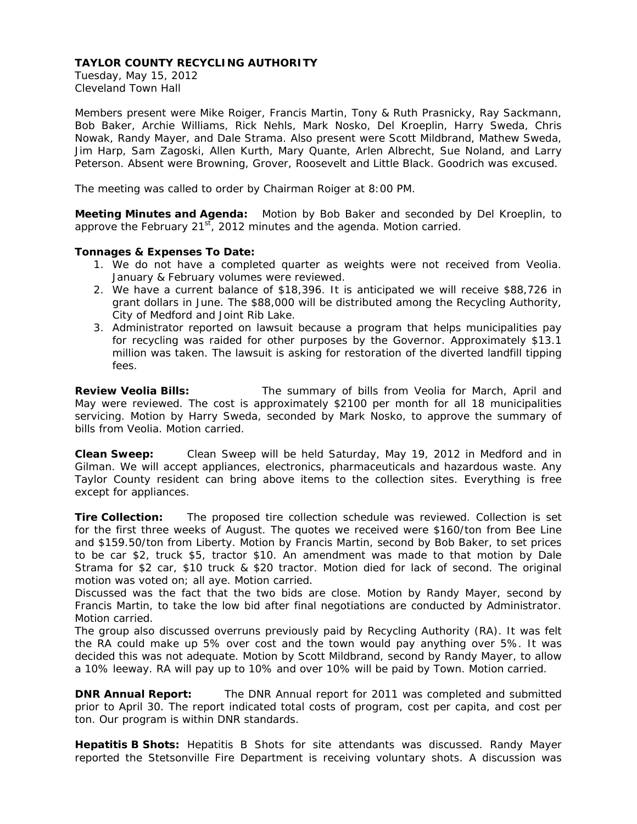Tuesday, May 15, 2012 Cleveland Town Hall

Members present were Mike Roiger, Francis Martin, Tony & Ruth Prasnicky, Ray Sackmann, Bob Baker, Archie Williams, Rick Nehls, Mark Nosko, Del Kroeplin, Harry Sweda, Chris Nowak, Randy Mayer, and Dale Strama. Also present were Scott Mildbrand, Mathew Sweda, Jim Harp, Sam Zagoski, Allen Kurth, Mary Quante, Arlen Albrecht, Sue Noland, and Larry Peterson. Absent were Browning, Grover, Roosevelt and Little Black. Goodrich was excused.

The meeting was called to order by Chairman Roiger at 8:00 PM.

**Meeting Minutes and Agenda:** Motion by Bob Baker and seconded by Del Kroeplin, to approve the February  $21^{st}$ , 2012 minutes and the agenda. Motion carried.

## **Tonnages & Expenses To Date:**

- 1. We do not have a completed quarter as weights were not received from Veolia. January & February volumes were reviewed.
- 2. We have a current balance of \$18,396. It is anticipated we will receive \$88,726 in grant dollars in June. The \$88,000 will be distributed among the Recycling Authority, City of Medford and Joint Rib Lake.
- 3. Administrator reported on lawsuit because a program that helps municipalities pay for recycling was raided for other purposes by the Governor. Approximately \$13.1 million was taken. The lawsuit is asking for restoration of the diverted landfill tipping fees.

**Review Veolia Bills:** The summary of bills from Veolia for March, April and May were reviewed. The cost is approximately \$2100 per month for all 18 municipalities servicing. Motion by Harry Sweda, seconded by Mark Nosko, to approve the summary of bills from Veolia. Motion carried.

**Clean Sweep:** Clean Sweep will be held Saturday, May 19, 2012 in Medford and in Gilman. We will accept appliances, electronics, pharmaceuticals and hazardous waste. Any Taylor County resident can bring above items to the collection sites. Everything is free except for appliances.

**Tire Collection:** The proposed tire collection schedule was reviewed. Collection is set for the first three weeks of August. The quotes we received were \$160/ton from Bee Line and \$159.50/ton from Liberty. Motion by Francis Martin, second by Bob Baker, to set prices to be car \$2, truck \$5, tractor \$10. An amendment was made to that motion by Dale Strama for \$2 car, \$10 truck & \$20 tractor. Motion died for lack of second. The original motion was voted on; all aye. Motion carried.

Discussed was the fact that the two bids are close. Motion by Randy Mayer, second by Francis Martin, to take the low bid after final negotiations are conducted by Administrator. Motion carried.

The group also discussed overruns previously paid by Recycling Authority (RA). It was felt the RA could make up 5% over cost and the town would pay anything over 5%. It was decided this was not adequate. Motion by Scott Mildbrand, second by Randy Mayer, to allow a 10% leeway. RA will pay up to 10% and over 10% will be paid by Town. Motion carried.

**DNR Annual Report:**The DNR Annual report for 2011 was completed and submitted prior to April 30. The report indicated total costs of program, cost per capita, and cost per ton. Our program is within DNR standards.

**Hepatitis B Shots:** Hepatitis B Shots for site attendants was discussed. Randy Mayer reported the Stetsonville Fire Department is receiving voluntary shots. A discussion was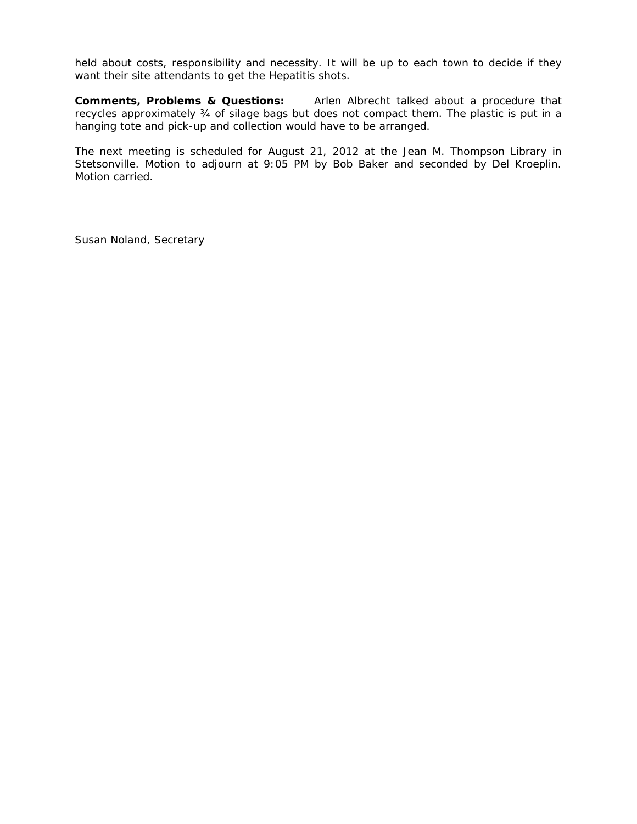held about costs, responsibility and necessity. It will be up to each town to decide if they want their site attendants to get the Hepatitis shots.

**Comments, Problems & Questions:** Arlen Albrecht talked about a procedure that recycles approximately ¾ of silage bags but does not compact them. The plastic is put in a hanging tote and pick-up and collection would have to be arranged.

The next meeting is scheduled for August 21, 2012 at the Jean M. Thompson Library in Stetsonville. Motion to adjourn at 9:05 PM by Bob Baker and seconded by Del Kroeplin. Motion carried.

Susan Noland, Secretary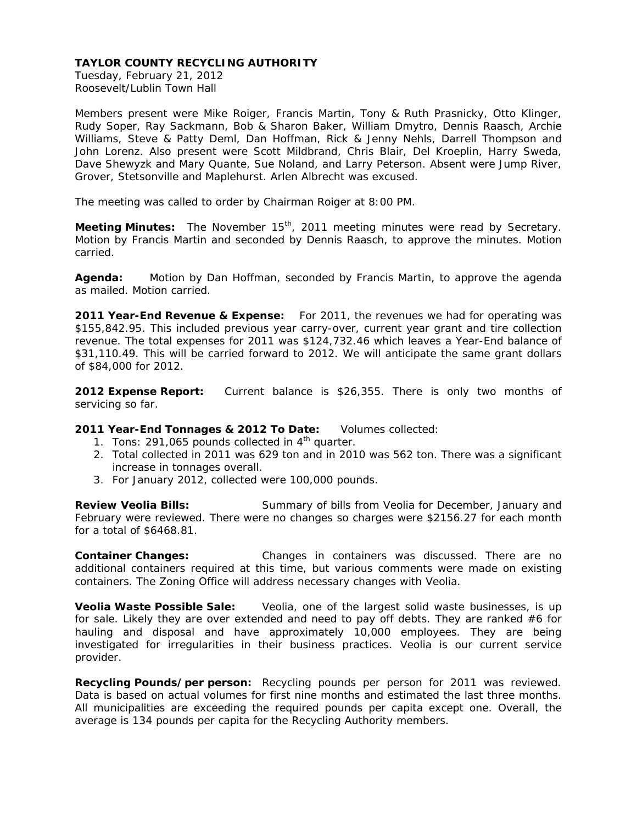Tuesday, February 21, 2012 Roosevelt/Lublin Town Hall

Members present were Mike Roiger, Francis Martin, Tony & Ruth Prasnicky, Otto Klinger, Rudy Soper, Ray Sackmann, Bob & Sharon Baker, William Dmytro, Dennis Raasch, Archie Williams, Steve & Patty Deml, Dan Hoffman, Rick & Jenny Nehls, Darrell Thompson and John Lorenz. Also present were Scott Mildbrand, Chris Blair, Del Kroeplin, Harry Sweda, Dave Shewyzk and Mary Quante, Sue Noland, and Larry Peterson. Absent were Jump River, Grover, Stetsonville and Maplehurst. Arlen Albrecht was excused.

The meeting was called to order by Chairman Roiger at 8:00 PM.

**Meeting Minutes:** The November 15<sup>th</sup>, 2011 meeting minutes were read by Secretary. Motion by Francis Martin and seconded by Dennis Raasch, to approve the minutes. Motion carried.

**Agenda:** Motion by Dan Hoffman, seconded by Francis Martin, to approve the agenda as mailed. Motion carried.

**2011 Year-End Revenue & Expense:** For 2011, the revenues we had for operating was \$155,842.95. This included previous year carry-over, current year grant and tire collection revenue. The total expenses for 2011 was \$124,732.46 which leaves a Year-End balance of \$31,110.49. This will be carried forward to 2012. We will anticipate the same grant dollars of \$84,000 for 2012.

**2012 Expense Report:** Current balance is \$26,355. There is only two months of servicing so far.

## **2011 Year-End Tonnages & 2012 To Date:** Volumes collected:

- 1. Tons: 291,065 pounds collected in  $4<sup>th</sup>$  quarter.
- 2. Total collected in 2011 was 629 ton and in 2010 was 562 ton. There was a significant increase in tonnages overall.
- 3. For January 2012, collected were 100,000 pounds.

**Review Veolia Bills:** Summary of bills from Veolia for December, January and February were reviewed. There were no changes so charges were \$2156.27 for each month for a total of \$6468.81.

**Container Changes:** Changes in containers was discussed. There are no additional containers required at this time, but various comments were made on existing containers. The Zoning Office will address necessary changes with Veolia.

**Veolia Waste Possible Sale:**Veolia, one of the largest solid waste businesses, is up for sale. Likely they are over extended and need to pay off debts. They are ranked  $#6$  for hauling and disposal and have approximately 10,000 employees. They are being investigated for irregularities in their business practices. Veolia is our current service provider.

**Recycling Pounds/per person:** Recycling pounds per person for 2011 was reviewed. Data is based on actual volumes for first nine months and estimated the last three months. All municipalities are exceeding the required pounds per capita except one. Overall, the average is 134 pounds per capita for the Recycling Authority members.